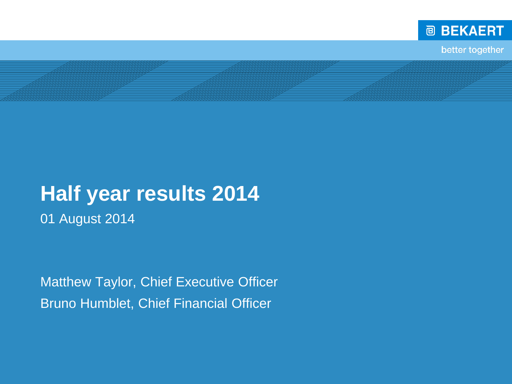

better together

# **Half year results 2014**

E<br>C

01 August 2014

Matthew Taylor, Chief Executive Officer Bruno Humblet, Chief Financial Officer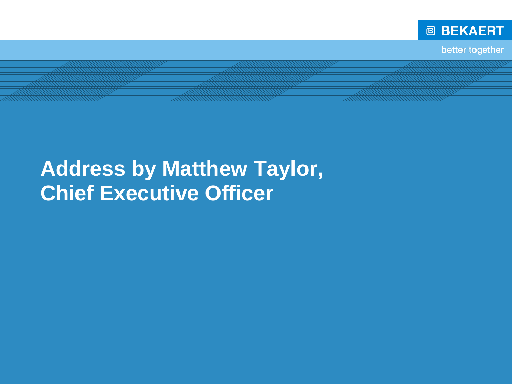

better together

# **Address by Matthew Taylor, Chief Executive Officer**

E<br>C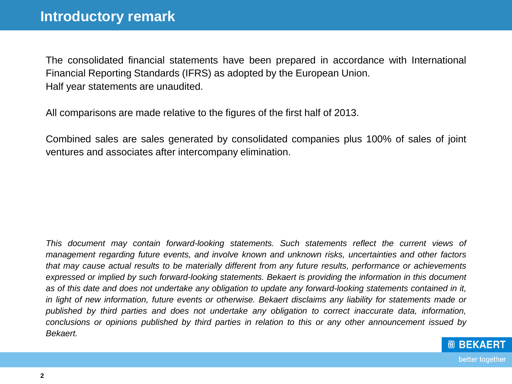The consolidated financial statements have been prepared in accordance with International Financial Reporting Standards (IFRS) as adopted by the European Union. Half year statements are unaudited.

All comparisons are made relative to the figures of the first half of 2013.

Combined sales are sales generated by consolidated companies plus 100% of sales of joint ventures and associates after intercompany elimination.

*This document may contain forward-looking statements. Such statements reflect the current views of management regarding future events, and involve known and unknown risks, uncertainties and other factors that may cause actual results to be materially different from any future results, performance or achievements expressed or implied by such forward-looking statements. Bekaert is providing the information in this document* as of this date and does not undertake any obligation to update any forward-looking statements contained in it, in light of new information, future events or otherwise. Bekaert disclaims any liability for statements made or *published by third parties and does not undertake any obligation to correct inaccurate data, information,* conclusions or opinions published by third parties in relation to this or any other announcement issued by *Bekaert.*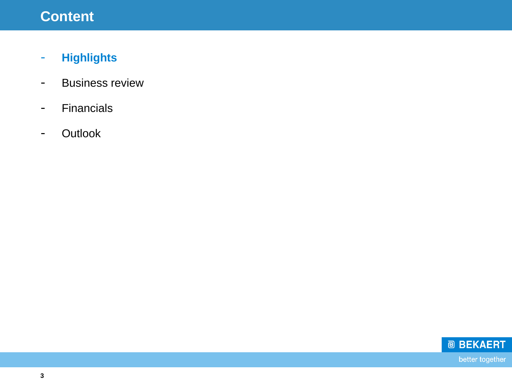## **Content**

- **Highlights**
- Business review
- Financials
- Outlook

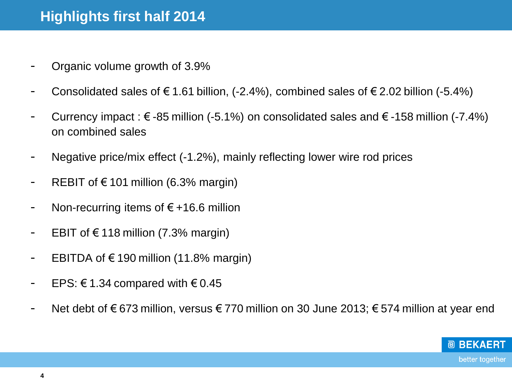- Organic volume growth of 3.9%
- Consolidated sales of  $\epsilon$  1.61 billion, (-2.4%), combined sales of  $\epsilon$  2.02 billion (-5.4%)
- Currency impact :  $\epsilon$  -85 million (-5.1%) on consolidated sales and  $\epsilon$  -158 million (-7.4%) on combined sales
- Negative price/mix effect (-1.2%), mainly reflecting lower wire rod prices
- REBIT of  $\epsilon$  101 million (6.3% margin)
- Non-recurring items of  $\epsilon$ +16.6 million
- EBIT of €118 million (7.3% margin)
- EBITDA of €190 million (11.8% margin)
- EPS: €1.34 compared with  $€ 0.45$
- Net debt of € 673 million, versus € 770 million on 30 June 2013; € 574 million at year end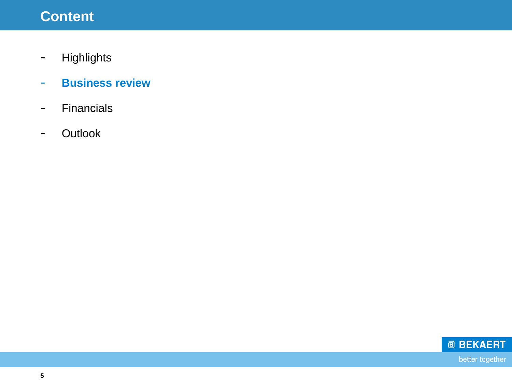## **Content**

- Highlights
- **Business review**
- Financials
- Outlook

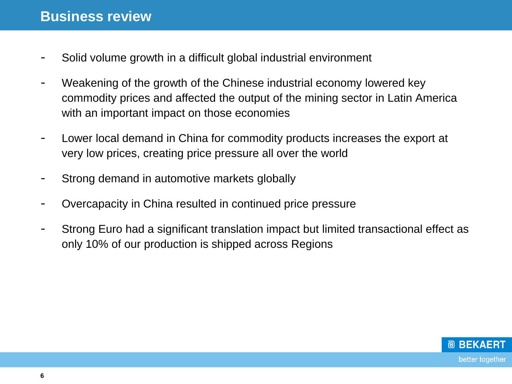- Solid volume growth in a difficult global industrial environment
- Weakening of the growth of the Chinese industrial economy lowered key commodity prices and affected the output of the mining sector in Latin America with an important impact on those economies
- Lower local demand in China for commodity products increases the export at very low prices, creating price pressure all over the world
- Strong demand in automotive markets globally
- Overcapacity in China resulted in continued price pressure
- Strong Euro had a significant translation impact but limited transactional effect as only 10% of our production is shipped across Regions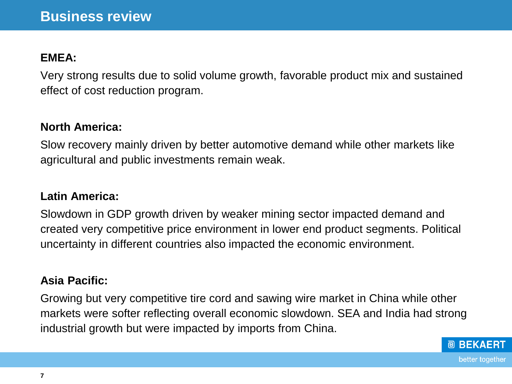#### **EMEA:**

Very strong results due to solid volume growth, favorable product mix and sustained effect of cost reduction program.

#### **North America:**

Slow recovery mainly driven by better automotive demand while other markets like agricultural and public investments remain weak.

#### **Latin America:**

Slowdown in GDP growth driven by weaker mining sector impacted demand and created very competitive price environment in lower end product segments. Political uncertainty in different countries also impacted the economic environment.

#### **Asia Pacific:**

Growing but very competitive tire cord and sawing wire market in China while other markets were softer reflecting overall economic slowdown. SEA and India had strong industrial growth but were impacted by imports from China.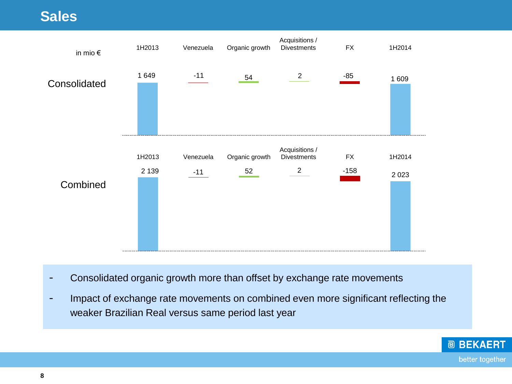#### **Sales**



- Consolidated organic growth more than offset by exchange rate movements
- Impact of exchange rate movements on combined even more significant reflecting the weaker Brazilian Real versus same period last year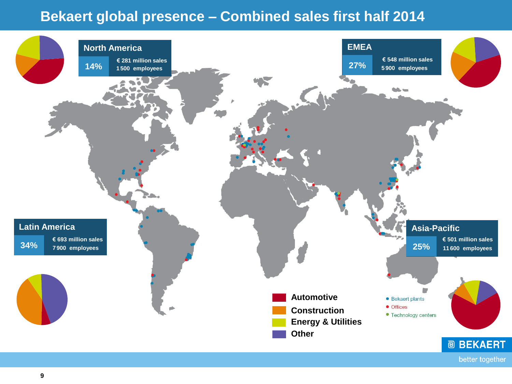#### **Bekaert global presence – Combined sales first half 2014**

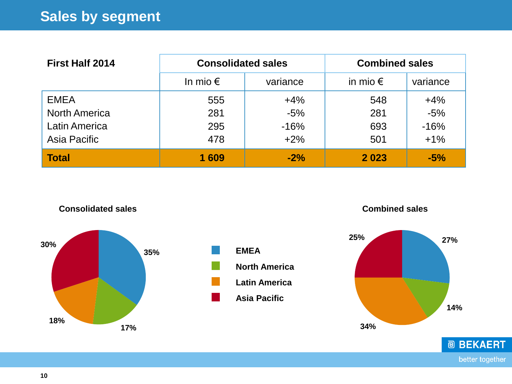| <b>First Half 2014</b> | <b>Consolidated sales</b> |          | <b>Combined sales</b> |          |
|------------------------|---------------------------|----------|-----------------------|----------|
|                        | In mio $\epsilon$         | variance | in mio $\epsilon$     | variance |
| <b>EMEA</b>            | 555                       | $+4%$    | 548                   | $+4%$    |
| <b>North America</b>   | 281                       | $-5%$    | 281                   | $-5%$    |
| Latin America          | 295                       | $-16%$   | 693                   | $-16%$   |
| Asia Pacific           | 478                       | $+2%$    | 501                   | $+1%$    |
| <b>Total</b>           | 1 609                     | $-2%$    | 2023                  | $-5%$    |



**Consolidated sales**



**Combined sales**



better together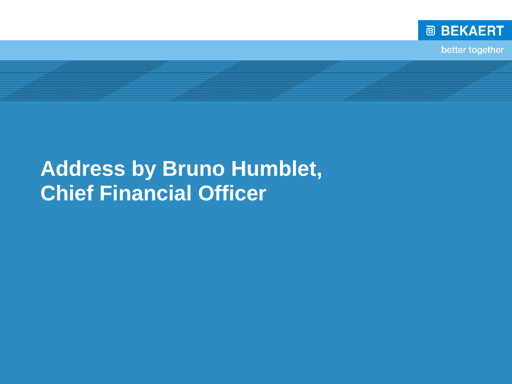

better together

# **Address by Bruno Humblet, Chief Financial Officer**

E<br>C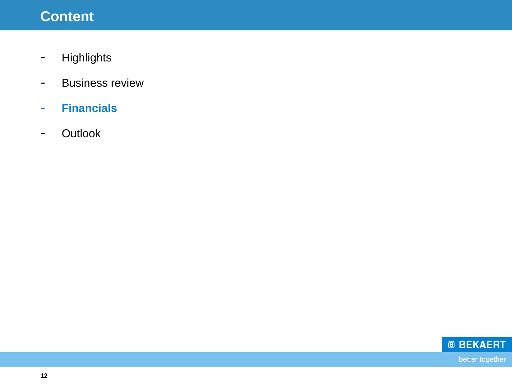## **Content**

- Highlights
- Business review
- **Financials**
- Outlook

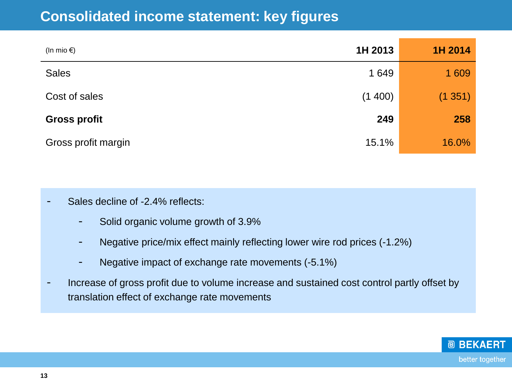| (In mio $\epsilon$ ) | 1H 2013 | 1H 2014 |
|----------------------|---------|---------|
| <b>Sales</b>         | 1 649   | 1 609   |
| Cost of sales        | (1400)  | (1351)  |
| <b>Gross profit</b>  | 249     | 258     |
| Gross profit margin  | 15.1%   | 16.0%   |

- Sales decline of -2.4% reflects:
	- Solid organic volume growth of 3.9%
	- Negative price/mix effect mainly reflecting lower wire rod prices (-1.2%)
	- Negative impact of exchange rate movements (-5.1%)
- Increase of gross profit due to volume increase and sustained cost control partly offset by translation effect of exchange rate movements

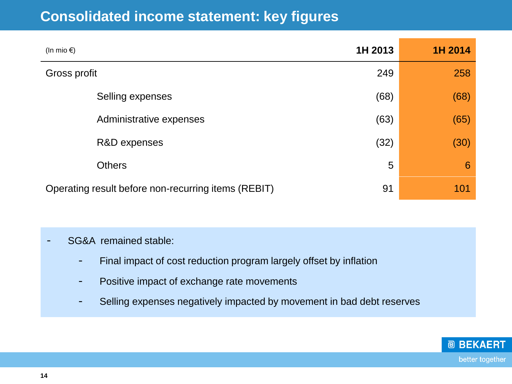| (In mio $\epsilon$ )                                | 1H 2013 | 1H 2014 |
|-----------------------------------------------------|---------|---------|
| Gross profit                                        | 249     | 258     |
| Selling expenses                                    | (68)    | (68)    |
| Administrative expenses                             | (63)    | (65)    |
| R&D expenses                                        | (32)    | (30)    |
| <b>Others</b>                                       | 5       | 6       |
| Operating result before non-recurring items (REBIT) | 91      | 101     |

#### SG&A remained stable:

- Final impact of cost reduction program largely offset by inflation
- Positive impact of exchange rate movements
- Selling expenses negatively impacted by movement in bad debt reserves

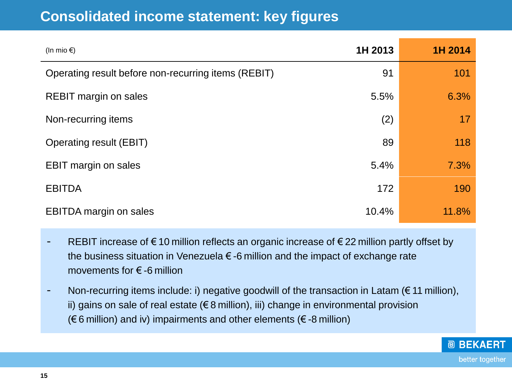| (In mio $\epsilon$ )                                | 1H 2013 | 1H 2014 |
|-----------------------------------------------------|---------|---------|
| Operating result before non-recurring items (REBIT) | 91      | 101     |
| <b>REBIT margin on sales</b>                        | 5.5%    | 6.3%    |
| Non-recurring items                                 | (2)     | 17      |
| Operating result (EBIT)                             | 89      | 118     |
| <b>EBIT</b> margin on sales                         | 5.4%    | 7.3%    |
| <b>EBITDA</b>                                       | 172     | 190     |
| <b>EBITDA</b> margin on sales                       | 10.4%   | 11.8%   |

- REBIT increase of  $\epsilon$  10 million reflects an organic increase of  $\epsilon$  22 million partly offset by the business situation in Venezuela  $\epsilon$  -6 million and the impact of exchange rate movements for € -6 million
- Non-recurring items include: i) negative goodwill of the transaction in Latam ( $\epsilon$  11 million), ii) gains on sale of real estate ( $\epsilon$ 8 million), iii) change in environmental provision  $(\epsilon$  6 million) and iv) impairments and other elements ( $\epsilon$ -8 million)

**@ BEKAERT** 

better together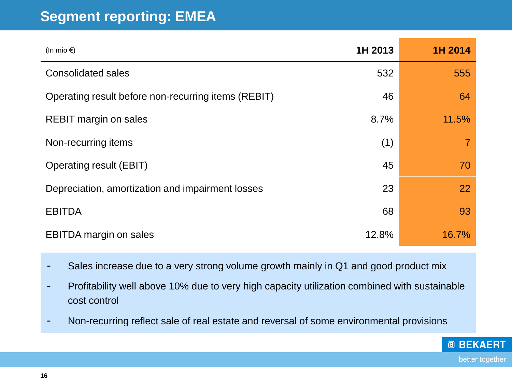#### **Segment reporting: EMEA**

| (In mio $\epsilon$ )                                | 1H 2013 | 1H 2014 |
|-----------------------------------------------------|---------|---------|
| <b>Consolidated sales</b>                           | 532     | 555     |
| Operating result before non-recurring items (REBIT) | 46      | 64      |
| <b>REBIT margin on sales</b>                        | 8.7%    | 11.5%   |
| Non-recurring items                                 | (1)     |         |
| <b>Operating result (EBIT)</b>                      | 45      | 70      |
| Depreciation, amortization and impairment losses    | 23      | 22      |
| <b>EBITDA</b>                                       | 68      | 93      |
| <b>EBITDA</b> margin on sales                       | 12.8%   | 16.7%   |

- Sales increase due to a very strong volume growth mainly in Q1 and good product mix
- Profitability well above 10% due to very high capacity utilization combined with sustainable cost control

**@ BEKAERT** 

better together

- Non-recurring reflect sale of real estate and reversal of some environmental provisions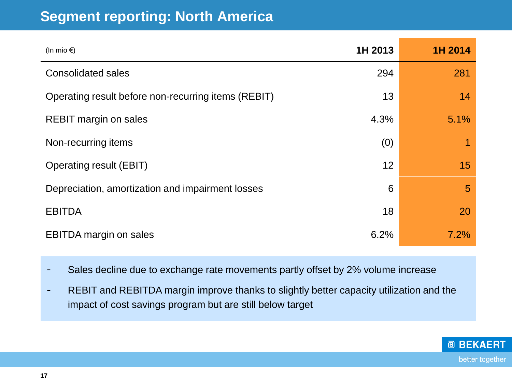#### **Segment reporting: North America**

| (In mio $\epsilon$ )                                | 1H 2013 | 1H 2014 |
|-----------------------------------------------------|---------|---------|
| <b>Consolidated sales</b>                           | 294     | 281     |
| Operating result before non-recurring items (REBIT) | 13      | 14      |
| <b>REBIT margin on sales</b>                        | 4.3%    | 5.1%    |
| Non-recurring items                                 | (0)     |         |
| Operating result (EBIT)                             | 12      | 15      |
| Depreciation, amortization and impairment losses    | 6       | 5       |
| <b>EBITDA</b>                                       | 18      | 20      |
| <b>EBITDA</b> margin on sales                       | 6.2%    | 7.2%    |

- Sales decline due to exchange rate movements partly offset by 2% volume increase

- REBIT and REBITDA margin improve thanks to slightly better capacity utilization and the impact of cost savings program but are still below target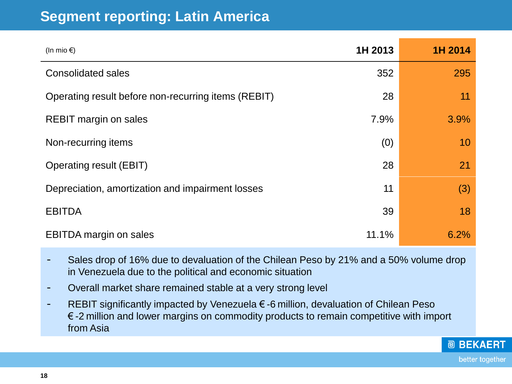#### **Segment reporting: Latin America**

| (In mio $\epsilon$ )                                | 1H 2013 | 1H 2014 |
|-----------------------------------------------------|---------|---------|
| <b>Consolidated sales</b>                           | 352     | 295     |
| Operating result before non-recurring items (REBIT) | 28      | 11      |
| <b>REBIT margin on sales</b>                        | 7.9%    | 3.9%    |
| Non-recurring items                                 | (0)     | 10      |
| Operating result (EBIT)                             | 28      | 21      |
| Depreciation, amortization and impairment losses    | 11      | (3)     |
| <b>EBITDA</b>                                       | 39      | 18      |
| <b>EBITDA</b> margin on sales                       | 11.1%   | 6.2%    |

- Sales drop of 16% due to devaluation of the Chilean Peso by 21% and a 50% volume drop in Venezuela due to the political and economic situation
- Overall market share remained stable at a very strong level
- REBIT significantly impacted by Venezuela €-6 million, devaluation of Chilean Peso € -2 million and lower margins on commodity products to remain competitive with import from Asia



**@ BEKAERT**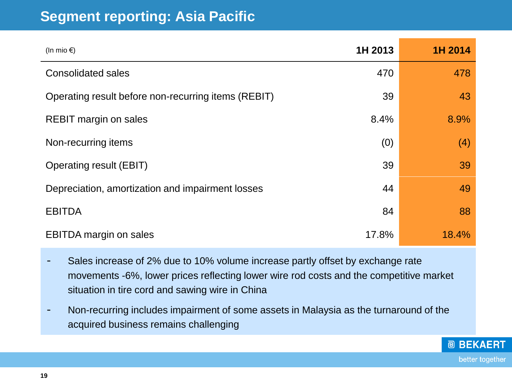#### **Segment reporting: Asia Pacific**

| (In mio $\epsilon$ )                                | 1H 2013 | 1H 2014 |
|-----------------------------------------------------|---------|---------|
| <b>Consolidated sales</b>                           | 470     | 478     |
| Operating result before non-recurring items (REBIT) | 39      | 43      |
| <b>REBIT margin on sales</b>                        | 8.4%    | 8.9%    |
| Non-recurring items                                 | (0)     | (4)     |
| <b>Operating result (EBIT)</b>                      | 39      | 39      |
| Depreciation, amortization and impairment losses    | 44      | 49      |
| <b>EBITDA</b>                                       | 84      | 88      |
| <b>EBITDA</b> margin on sales                       | 17.8%   | 18.4%   |

- Sales increase of 2% due to 10% volume increase partly offset by exchange rate movements -6%, lower prices reflecting lower wire rod costs and the competitive market situation in tire cord and sawing wire in China
- Non-recurring includes impairment of some assets in Malaysia as the turnaround of the acquired business remains challenging

**@ BEKAERT** 

better together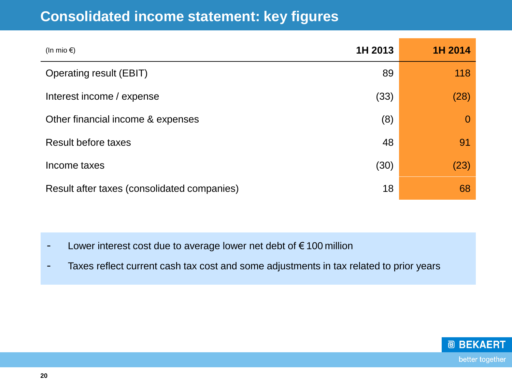| (In mio $\epsilon$ )                        | 1H 2013 | 1H 2014  |
|---------------------------------------------|---------|----------|
| <b>Operating result (EBIT)</b>              | 89      | 118      |
| Interest income / expense                   | (33)    | (28)     |
| Other financial income & expenses           | (8)     | $\Omega$ |
| <b>Result before taxes</b>                  | 48      | 91       |
| Income taxes                                | (30)    | (23)     |
| Result after taxes (consolidated companies) | 18      | 68       |

- Lower interest cost due to average lower net debt of € 100 million
- Taxes reflect current cash tax cost and some adjustments in tax related to prior years

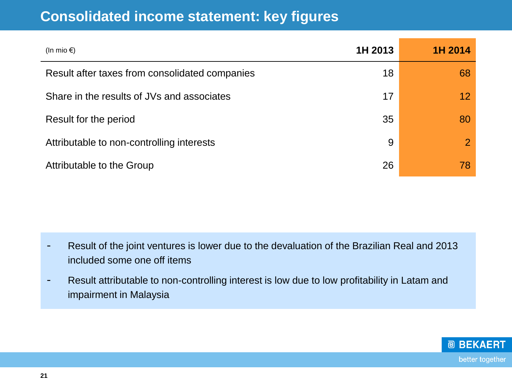| (In mio $\epsilon$ )                           | 1H 2013 | 1H 2014         |
|------------------------------------------------|---------|-----------------|
| Result after taxes from consolidated companies | 18      | 68              |
| Share in the results of JVs and associates     | 17      | 12 <sup>°</sup> |
| Result for the period                          | 35      | 80              |
| Attributable to non-controlling interests      | 9       | $\mathbf{2}$    |
| Attributable to the Group                      | 26      | 78              |

- Result of the joint ventures is lower due to the devaluation of the Brazilian Real and 2013 included some one off items
- Result attributable to non-controlling interest is low due to low profitability in Latam and impairment in Malaysia

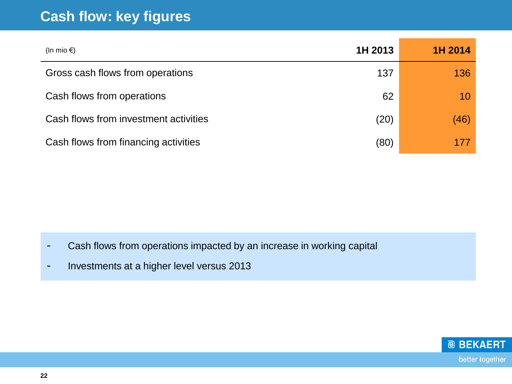#### **Cash flow: key figures**

| (In mio $\epsilon$ )                  | 1H 2013 | 1H 2014 |
|---------------------------------------|---------|---------|
| Gross cash flows from operations      | 137     | 136     |
| Cash flows from operations            | 62      | 10      |
| Cash flows from investment activities | (20)    | (46)    |
| Cash flows from financing activities  | (80)    |         |

- Cash flows from operations impacted by an increase in working capital
- Investments at a higher level versus 2013

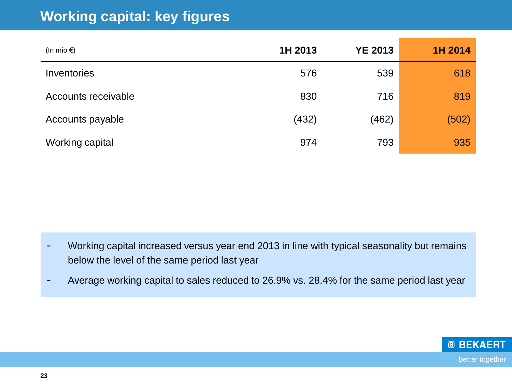#### **Working capital: key figures**

| (In mio $\epsilon$ ) | 1H 2013 | <b>YE 2013</b> | 1H 2014 |
|----------------------|---------|----------------|---------|
| Inventories          | 576     | 539            | 618     |
| Accounts receivable  | 830     | 716            | 819     |
| Accounts payable     | (432)   | (462)          | (502)   |
| Working capital      | 974     | 793            | 935     |

- Working capital increased versus year end 2013 in line with typical seasonality but remains below the level of the same period last year
- Average working capital to sales reduced to 26.9% vs. 28.4% for the same period last year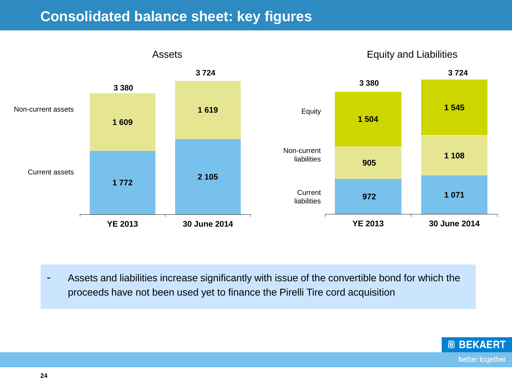#### **Consolidated balance sheet: key figures**



- Assets and liabilities increase significantly with issue of the convertible bond for which the proceeds have not been used yet to finance the Pirelli Tire cord acquisition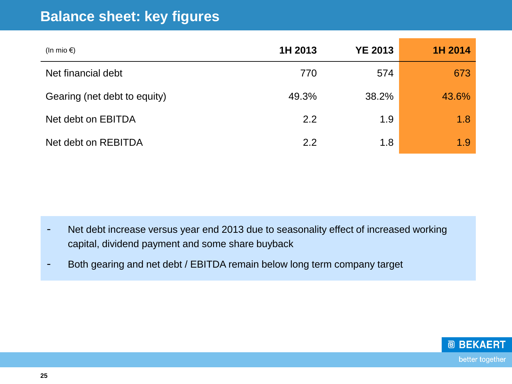#### **Balance sheet: key figures**

| (In mio $\epsilon$ )         | 1H 2013 | <b>YE 2013</b> | 1H 2014 |
|------------------------------|---------|----------------|---------|
| Net financial debt           | 770     | 574            | 673     |
| Gearing (net debt to equity) | 49.3%   | 38.2%          | 43.6%   |
| Net debt on EBITDA           | 2.2     | 1.9            | 1.8     |
| Net debt on REBITDA          | 2.2     | 1.8            | 1.9     |

- Net debt increase versus year end 2013 due to seasonality effect of increased working capital, dividend payment and some share buyback
- Both gearing and net debt / EBITDA remain below long term company target

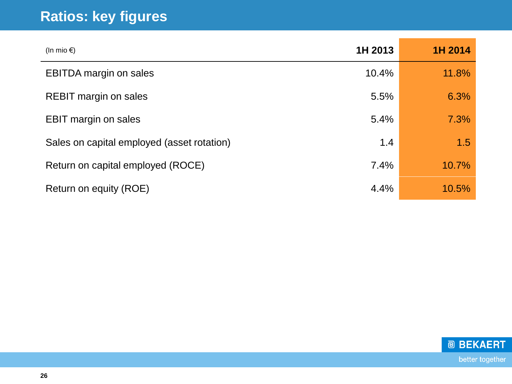# **Ratios: key figures**

| (In mio $\epsilon$ )                       | 1H 2013 | 1H 2014 |
|--------------------------------------------|---------|---------|
| <b>EBITDA</b> margin on sales              | 10.4%   | 11.8%   |
| <b>REBIT margin on sales</b>               | 5.5%    | 6.3%    |
| <b>EBIT margin on sales</b>                | 5.4%    | 7.3%    |
| Sales on capital employed (asset rotation) | 1.4     | 1.5     |
| Return on capital employed (ROCE)          | 7.4%    | 10.7%   |
| Return on equity (ROE)                     | 4.4%    | 10.5%   |

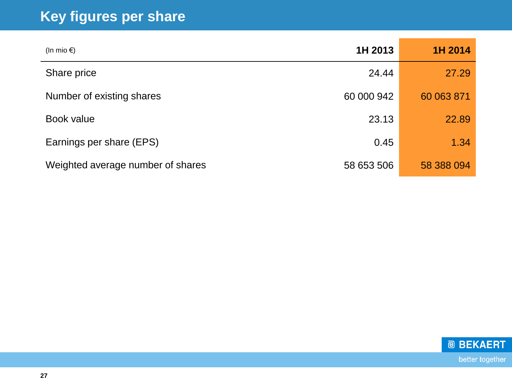# **Key figures per share**

| (In mio $\epsilon$ )              | 1H 2013    | 1H 2014    |
|-----------------------------------|------------|------------|
| Share price                       | 24.44      | 27.29      |
| Number of existing shares         | 60 000 942 | 60 063 871 |
| Book value                        | 23.13      | 22.89      |
| Earnings per share (EPS)          | 0.45       | 1.34       |
| Weighted average number of shares | 58 653 506 | 58 388 094 |

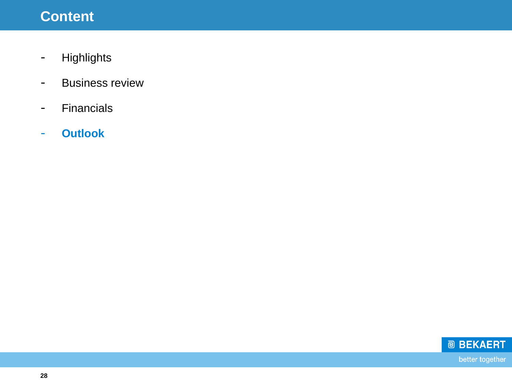## **Content**

- Highlights
- Business review
- Financials
- **Outlook**

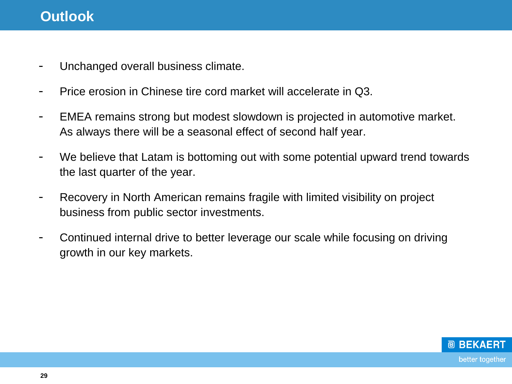#### **Outlook**

- Unchanged overall business climate.
- Price erosion in Chinese tire cord market will accelerate in Q3.
- EMEA remains strong but modest slowdown is projected in automotive market. As always there will be a seasonal effect of second half year.
- We believe that Latam is bottoming out with some potential upward trend towards the last quarter of the year.
- Recovery in North American remains fragile with limited visibility on project business from public sector investments.
- Continued internal drive to better leverage our scale while focusing on driving growth in our key markets.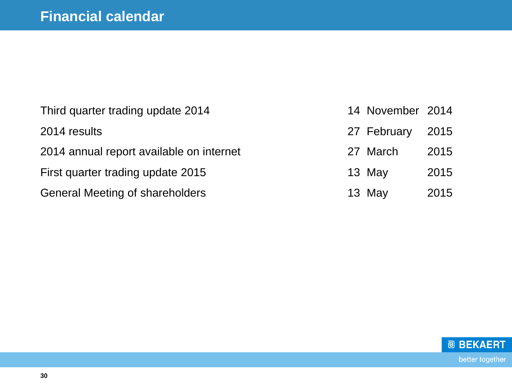| Third quarter trading update 2014        | 14 November 2014 |      |
|------------------------------------------|------------------|------|
| 2014 results                             | 27 February 2015 |      |
| 2014 annual report available on internet | 27 March         | 2015 |
| First quarter trading update 2015        | 13 May           | 2015 |
| <b>General Meeting of shareholders</b>   | 13 May           | 2015 |